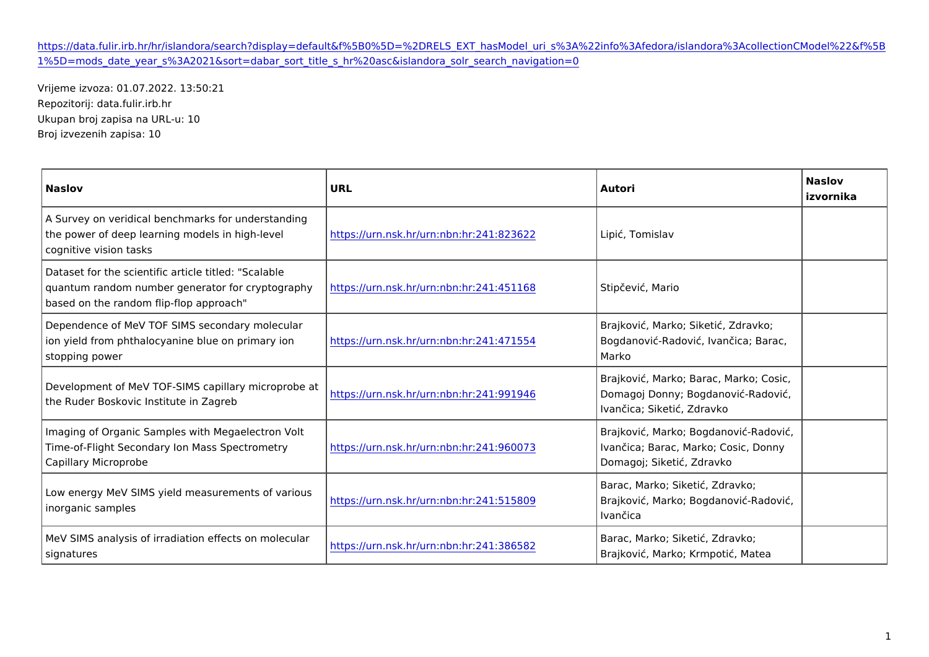## [https://data.fulir.irb.hr/hr/islandora/search?display=default&f%5B0%5D=%2DRELS\\_EXT\\_hasModel\\_uri\\_s%3A%22info%3Af](https://data.fulir.irb.hr/hr/islandora/search?display=default&f[0]=-RELS_EXT_hasModel_uri_s:"info:fedora/islandora:collectionCModel"&f[1]=mods_date_year_s:2021&sort=dabar_sort_title_s_hr asc&islandora_solr_search_navigation=0)edora [1%5D=mods\\_date\\_year\\_s%3A2021&sort=dabar\\_sort\\_title\\_s\\_hr%20asc&islando](https://data.fulir.irb.hr/hr/islandora/search?display=default&f[0]=-RELS_EXT_hasModel_uri_s:"info:fedora/islandora:collectionCModel"&f[1]=mods_date_year_s:2021&sort=dabar_sort_title_s_hr asc&islandora_solr_search_navigation=0)ra\_solr\_search\_navigation=0

Vrijeme izvoza: 01.07.2022. 13:50:21 Repozitorij: data.fulir.irb.hr Ukupan broj zapisa na URL-u: 10 Broj izvezenih zapisa: 10

| Naslov                                                                                                                                                                                                   | URL | Autori                                                             | Naslov<br>izvornika |
|----------------------------------------------------------------------------------------------------------------------------------------------------------------------------------------------------------|-----|--------------------------------------------------------------------|---------------------|
| A Survey on veridical benchmarks for understanding<br>the power of deep learning models in highnttpesv.ehurn.nsk.hr/urn:nbn:hr:241:823622pi , Tomislav<br>cognitive vision tasks                         |     |                                                                    |                     |
| Dataset for the scientific article titled: Scalable<br>quantum random number generator for c rhytoptong playphiny.nsk.hr/urn:nbn:hr:241:451 188ip evi , Mario<br>based on the random flip-flop approach  |     |                                                                    |                     |
| Dependence of MeV TOF SIMS secondary molecular<br>ion yield from phthalocyanine blue on p <mark>rhmtansy //omrn.nsk.hr/urn:nbn:hr:241:471</mark> 5Bogdanovi –Radovi , Ivan ica; Barac,<br>stopping power |     | Brajkovi, Marko; Siketi, Zdravko;<br>Marko                         |                     |
| Development of MeV TOF-SIMS capillary microprobe at https://urn.nsk.hr/urn.nbn.hr;241:9919Dômagoj Donny; Bogdanovi Radovi,<br>the Ruder Boskovic Institute in Zagreb                                     |     | Brajkovi, Marko; Barac, Marko; Cosic,<br>Ivan ica; Siketi, Zdravko |                     |
| Imaging of Organic Samples with Megaelectron Volt<br>Time-of-Flight Secondary Ion Mass Spechttopmset/dyurn.nsk.hr/urn:nbn:hr:241:960þl7√3an ica; Barac, Marko; Cosic, Donny<br>Capillary Microprobe      |     | Brajkovi, Marko; Bogdanovi - Radovi,<br>Domagoj; Siketi, Zdravko   |                     |
| Low energy MeV SIMS yield measurements of various<br>https://urn.nsk.hr/urn.nbn.hr/241:515 BBBajkovi , Marko; Bogdanovi - Radovi ,<br>inorganic samples                                                  |     | Barac, Marko; Siketi, Zdravko;<br>Ivan ica                         |                     |
| MeV SIMS analysis of irradiation effects on molecular [8] Darac, Marko; Siketi, Zdravko;<br>https://urn.nsk.hr/urn.nbn:hr:241:386582<br>signatures                                                       |     | Brajkovi, Marko; Krmpoti, Matea                                    |                     |